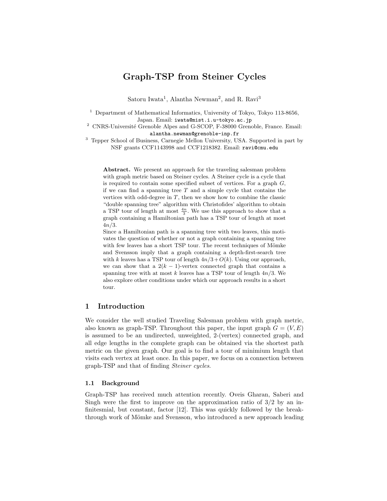# Graph-TSP from Steiner Cycles

Satoru Iwata<sup>1</sup>, Alantha Newman<sup>2</sup>, and R. Ravi<sup>3</sup>

<sup>1</sup> Department of Mathematical Informatics, University of Tokyo, Tokyo 113-8656, Japan. Email: iwata@mist.i.u-tokyo.ac.jp

 $2$  CNRS-Université Grenoble Alpes and G-SCOP, F-38000 Grenoble, France. Email: alantha.newman@grenoble-inp.fr

<sup>3</sup> Tepper School of Business, Carnegie Mellon University, USA. Supported in part by NSF grants CCF1143998 and CCF1218382. Email: ravi@cmu.edu

Abstract. We present an approach for the traveling salesman problem with graph metric based on Steiner cycles. A Steiner cycle is a cycle that is required to contain some specified subset of vertices. For a graph  $G$ , if we can find a spanning tree  $T$  and a simple cycle that contains the vertices with odd-degree in  $T$ , then we show how to combine the classic "double spanning tree" algorithm with Christofides' algorithm to obtain a TSP tour of length at most  $\frac{4n}{3}$ . We use this approach to show that a graph containing a Hamiltonian path has a TSP tour of length at most 4n/3.

Since a Hamiltonian path is a spanning tree with two leaves, this motivates the question of whether or not a graph containing a spanning tree with few leaves has a short TSP tour. The recent techniques of Mömke and Svensson imply that a graph containing a depth-first-search tree with k leaves has a TSP tour of length  $4n/3+O(k)$ . Using our approach, we can show that a  $2(k-1)$ -vertex connected graph that contains a spanning tree with at most k leaves has a TSP tour of length  $4n/3$ . We also explore other conditions under which our approach results in a short tour.

### 1 Introduction

We consider the well studied Traveling Salesman problem with graph metric, also known as graph-TSP. Throughout this paper, the input graph  $G = (V, E)$ is assumed to be an undirected, unweighted, 2-(vertex) connected graph, and all edge lengths in the complete graph can be obtained via the shortest path metric on the given graph. Our goal is to find a tour of minimium length that visits each vertex at least once. In this paper, we focus on a connection between graph-TSP and that of finding Steiner cycles.

### 1.1 Background

Graph-TSP has received much attention recently. Oveis Gharan, Saberi and Singh were the first to improve on the approximation ratio of  $3/2$  by an infinitesmial, but constant, factor [12]. This was quickly followed by the breakthrough work of Mömke and Svensson, who introduced a new approach leading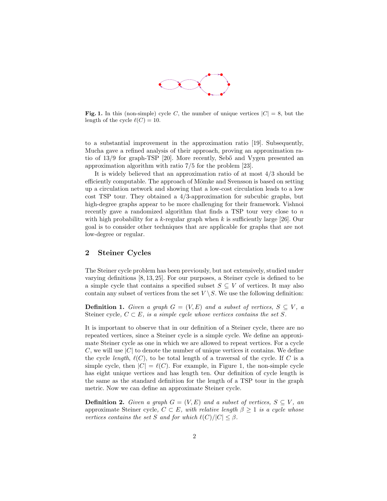

**Fig. 1.** In this (non-simple) cycle C, the number of unique vertices  $|C| = 8$ , but the length of the cycle  $\ell(C) = 10$ .

to a substantial improvement in the approximation ratio [19]. Subsequently, Mucha gave a refined analysis of their approach, proving an approximation ratio of  $13/9$  for graph-TSP [20]. More recently, Seb $\ddot{o}$  and Vygen presented an approximation algorithm with ratio 7/5 for the problem [23].

It is widely believed that an approximation ratio of at most 4/3 should be efficiently computable. The approach of Mömke and Svensson is based on setting up a circulation network and showing that a low-cost circulation leads to a low cost TSP tour. They obtained a  $4/3$ -approximation for subcubic graphs, but high-degree graphs appear to be more challenging for their framework. Vishnoi recently gave a randomized algorithm that finds a TSP tour very close to  $n$ with high probability for a k-regular graph when  $k$  is sufficiently large [26]. Our goal is to consider other techniques that are applicable for graphs that are not low-degree or regular.

### 2 Steiner Cycles

The Steiner cycle problem has been previously, but not extensively, studied under varying definitions [8, 13, 25]. For our purposes, a Steiner cycle is defined to be a simple cycle that contains a specified subset  $S \subseteq V$  of vertices. It may also contain any subset of vertices from the set  $V \setminus S$ . We use the following definition:

**Definition 1.** Given a graph  $G = (V, E)$  and a subset of vertices,  $S \subseteq V$ , a Steiner cycle,  $C \subset E$ , is a simple cycle whose vertices contains the set S.

It is important to observe that in our definition of a Steiner cycle, there are no repeated vertices, since a Steiner cycle is a simple cycle. We define an approximate Steiner cycle as one in which we are allowed to repeat vertices. For a cycle C, we will use  $|C|$  to denote the number of unique vertices it contains. We define the cycle length,  $\ell(C)$ , to be total length of a traversal of the cycle. If C is a simple cycle, then  $|C| = \ell(C)$ . For example, in Figure 1, the non-simple cycle has eight unique vertices and has length ten. Our definition of cycle length is the same as the standard definition for the length of a TSP tour in the graph metric. Now we can define an approximate Steiner cycle.

**Definition 2.** Given a graph  $G = (V, E)$  and a subset of vertices,  $S \subseteq V$ , and approximate Steiner cycle,  $C \subset E$ , with relative length  $\beta \geq 1$  is a cycle whose vertices contains the set S and for which  $\ell(C)/|C| \leq \beta$ .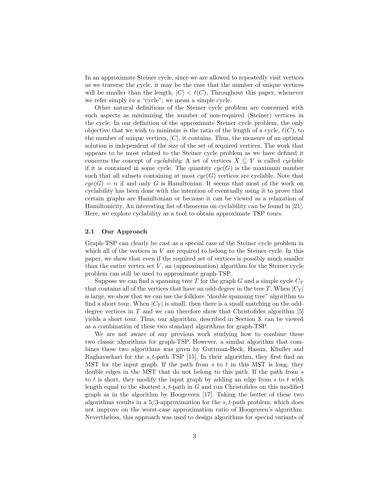In an approximate Steiner cycle, since we are allowed to repeatedly visit vertices as we traverse the cycle, it may be the case that the number of unique vertices will be smaller than the length,  $|C| < \ell(C)$ . Throughout this paper, whenever we refer simply to a "cycle", we mean a simple cycle.

Other natural definitions of the Steiner cycle problem are concerned with such aspects as minimizing the number of non-required (Steiner) vertices in the cycle. In our definition of the approximate Steiner cycle problem, the only objective that we wish to minimize is the ratio of the length of a cycle,  $\ell(C)$ , to the number of unique vertices,  $|C|$ , it contains. Thus, the measure of an optimal solution is independent of the size of the set of required vertices. The work that appears to be most related to the Steiner cycle problem as we have defined it concerns the concept of cyclability: A set of vertices  $X \subseteq V$  is called cyclable if it is contained in some cycle. The quantity  $cyc(G)$  is the maximum number such that all subsets containing at most  $cyc(G)$  vertices are cyclable. Note that  $cyc(G) = n$  if and only G is Hamiltonian. It seems that most of the work on cyclability has been done with the intention of eventually using it to prove that certain graphs are Hamiltonian or because it can be viewed as a relaxation of Hamiltonicity. An interesting list of theorems on cyclability can be found in [21]. Here, we explore cyclability as a tool to obtain approximate TSP tours.

#### 2.1 Our Approach

Graph-TSP can clearly be cast as a special case of the Steiner cycle problem in which all of the vertices in  $V$  are required to belong to the Steiner cycle. In this paper, we show that even if the required set of vertices is possibly much smaller than the entire vertex set  $V$ , an (approximation) algorithm for the Steiner cycle problem can still be used to approximate graph-TSP.

Suppose we can find a spanning tree T for the graph  $G$  and a simple cycle  $C_T$ that contains all of the vertices that have an odd-degree in the tree T. When  $|C_T|$ is large, we show that we can use the folklore "double spanning tree" algorithm to find a short tour. When  $|C_T|$  is small, then there is a small matching on the odddegree vertices in  $T$  and we can therefore show that Christofides algorithm [5] yields a short tour. Thus, our algorithm, described in Section 3, can be viewed as a combination of these two standard algorithms for graph-TSP.

We are not aware of any previous work studying how to combine these two classic algorithms for graph-TSP. However, a similar algorithm that combines these two algorithms was given by Guttman-Beck, Hassin, Khuller and Raghavachari for the  $s, t$ -path TSP [15]. In their algorithm, they first find an MST for the input graph. If the path from  $s$  to  $t$  in this MST is long, they double edges in the MST that do not belong to this path. If the path from s to  $t$  is short, they modify the input graph by adding an edge from  $s$  to  $t$  with length equal to the shortest s, t-path in  $G$  and run Christofides on this modified graph as in the algorithm by Hoogeveen [17]. Taking the better of these two algorithms results in a  $5/3$ -approximation for the s, t-path problem, which does not improve on the worst-case approximation ratio of Hoogeveen's algorithm. Nevertheless, this approach was used to design algorithms for special variants of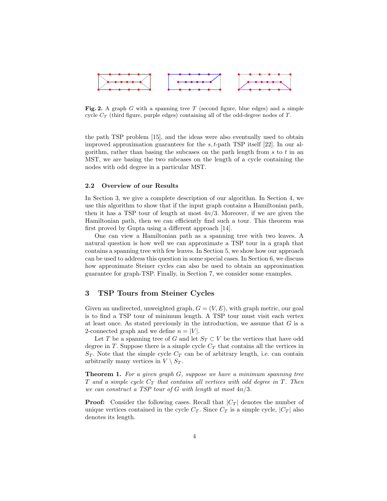

Fig. 2. A graph G with a spanning tree T (second figure, blue edges) and a simple cycle  $C_T$  (third figure, purple edges) containing all of the odd-degree nodes of  $T$ .

the path TSP problem [15], and the ideas were also eventually used to obtain improved approximation guarantees for the  $s, t$ -path TSP itself [22]. In our algorithm, rather than basing the subcases on the path length from  $s$  to  $t$  in an MST, we are basing the two subcases on the length of a cycle containing the nodes with odd degree in a particular MST.

#### 2.2 Overview of our Results

In Section 3, we give a complete description of our algorithm. In Section 4, we use this algorithm to show that if the input graph contains a Hamiltonian path, then it has a TSP tour of length at most  $4n/3$ . Moreover, if we are given the Hamiltonian path, then we can efficiently find such a tour. This theorem was first proved by Gupta using a different approach [14].

One can view a Hamiltonian path as a spanning tree with two leaves. A natural question is how well we can approximate a TSP tour in a graph that contains a spanning tree with few leaves. In Section 5, we show how our approach can be used to address this question in some special cases. In Section 6, we discuss how approximate Steiner cycles can also be used to obtain an approximation guarantee for graph-TSP. Finally, in Section 7, we consider some examples.

### 3 TSP Tours from Steiner Cycles

Given an undirected, unweighted graph,  $G = (V, E)$ , with graph metric, our goal is to find a TSP tour of minimum length. A TSP tour must visit each vertex at least once. As stated previously in the introduction, we assume that  $G$  is a 2-connected graph and we define  $n = |V|$ .

Let T be a spanning tree of G and let  $S_T \subset V$  be the vertices that have odd degree in T. Suppose there is a simple cycle  $C_T$  that contains all the vertices in  $S_T$ . Note that the simple cycle  $C_T$  can be of arbitrary length, i.e. can contain arbitrarily many vertices in  $V \setminus S_T$ .

**Theorem 1.** For a given graph  $G$ , suppose we have a minimum spanning tree T and a simple cycle  $C_T$  that contains all vertices with odd degree in T. Then we can construct a TSP tour of G with length at most  $4n/3$ .

**Proof:** Consider the following cases. Recall that  $|C_T|$  denotes the number of unique vertices contained in the cycle  $C_T$ . Since  $C_T$  is a simple cycle,  $|C_T|$  also denotes its length.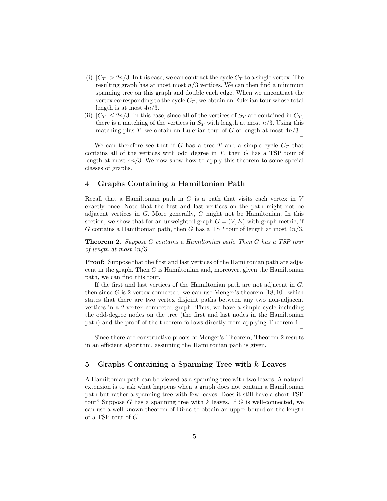- (i)  $|C_T| > 2n/3$ . In this case, we can contract the cycle  $C_T$  to a single vertex. The resulting graph has at most most  $n/3$  vertices. We can then find a minimum spanning tree on this graph and double each edge. When we uncontract the vertex corresponding to the cycle  $C_T$ , we obtain an Eulerian tour whose total length is at most  $4n/3$ .
- (ii)  $|C_T| \leq 2n/3$ . In this case, since all of the vertices of  $S_T$  are contained in  $C_T$ , there is a matching of the vertices in  $S_T$  with length at most  $n/3$ . Using this matching plus  $T$ , we obtain an Eulerian tour of  $G$  of length at most  $4n/3$ .  $\Box$

We can therefore see that if G has a tree T and a simple cycle  $C_T$  that contains all of the vertices with odd degree in  $T$ , then  $G$  has a TSP tour of length at most  $4n/3$ . We now show how to apply this theorem to some special classes of graphs.

### 4 Graphs Containing a Hamiltonian Path

Recall that a Hamiltonian path in  $G$  is a path that visits each vertex in  $V$ exactly once. Note that the first and last vertices on the path might not be adjacent vertices in G. More generally, G might not be Hamiltonian. In this section, we show that for an unweighted graph  $G = (V, E)$  with graph metric, if G contains a Hamiltonian path, then G has a TSP tour of length at most  $4n/3$ .

Theorem 2. Suppose G contains a Hamiltonian path. Then G has a TSP tour of length at most 4n/3.

Proof: Suppose that the first and last vertices of the Hamiltonian path are adjacent in the graph. Then  $G$  is Hamiltonian and, moreover, given the Hamiltonian path, we can find this tour.

If the first and last vertices of the Hamiltonian path are not adjacent in  $G$ , then since G is 2-vertex connected, we can use Menger's theorem  $[18, 10]$ , which states that there are two vertex disjoint paths between any two non-adjacent vertices in a 2-vertex connected graph. Thus, we have a simple cycle including the odd-degree nodes on the tree (the first and last nodes in the Hamiltonian path) and the proof of the theorem follows directly from applying Theorem 1.

 $\Box$ 

Since there are constructive proofs of Menger's Theorem, Theorem 2 results in an efficient algorithm, assuming the Hamiltonian path is given.

### 5 Graphs Containing a Spanning Tree with k Leaves

A Hamiltonian path can be viewed as a spanning tree with two leaves. A natural extension is to ask what happens when a graph does not contain a Hamiltonian path but rather a spanning tree with few leaves. Does it still have a short TSP tour? Suppose G has a spanning tree with k leaves. If G is well-connected, we can use a well-known theorem of Dirac to obtain an upper bound on the length of a TSP tour of G.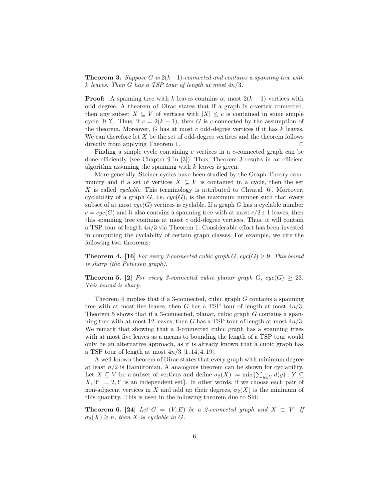**Theorem 3.** Suppose G is  $2(k-1)$ -connected and contains a spanning tree with k leaves. Then G has a TSP tour of length at most  $4n/3$ .

**Proof:** A spanning tree with k leaves contains at most  $2(k-1)$  vertices with odd degree. A theorem of Dirac states that if a graph is c-vertex connected, then any subset  $X \subseteq V$  of vertices with  $|X| \leq c$  is contained in some simple cycle [9, ?]. Thus, if  $c = 2(k-1)$ , then G is c-connected by the assumption of the theorem. Moreover,  $G$  has at most  $c$  odd-degree vertices if it has  $k$  leaves. We can therefore let  $X$  be the set of odd-degree vertices and the theorem follows directly from applying Theorem 1.  $\Box$ 

Finding a simple cycle containing c vertices in a c-connected graph can be done efficiently (see Chapter 9 in [3]). Thus, Theorem 3 results in an efficient algorithm assuming the spanning with  $k$  leaves is given.

More generally, Steiner cycles have been studied by the Graph Theory community and if a set of vertices  $X \subseteq V$  is contained in a cycle, then the set X is called *cyclable*. This terminology is attributed to Chvatal  $[6]$ . Moreover, cyclability of a graph  $G$ , i.e.  $cyc(G)$ , is the maximum number such that every subset of at most  $cyc(G)$  vertices is cyclable. If a graph G has a cyclable number  $c = cyc(G)$  and it also contains a spanning tree with at most  $c/2+1$  leaves, then this spanning tree contains at most  $c$  odd-degree vertices. Thus, it will contain a TSP tour of length  $4n/3$  via Theorem 1. Considerable effort has been invested in computing the cyclablity of certain graph classes. For example, we cite the following two theorems:

**Theorem 4.** [16] For every 3-connected cubic graph  $G$ ,  $cyc(G) \geq 9$ . This bound is sharp (the Petersen graph).

**Theorem 5.** [2] For every 3-connected cubic planar graph  $G$ ,  $cyc(G) \geq 23$ . This bound is sharp.

Theorem 4 implies that if a 3-connected, cubic graph G contains a spanning tree with at most five leaves, then G has a TSP tour of length at most  $4n/3$ . Theorem 5 shows that if a 3-connected, planar, cubic graph G contains a spanning tree with at most 12 leaves, then G has a TSP tour of length at most  $4n/3$ . We remark that showing that a 3-connected cubic graph has a spanning trees with at most five leaves as a means to bounding the length of a TSP tour would only be an alternative approach, as it is already known that a cubic graph has a TSP tour of length at most  $4n/3$  [1, 14, 4, 19].

A well-known theorem of Dirac states that every graph with minimum degree at least  $n/2$  is Hamiltonian. A analogous theorem can be shown for cyclability. Let  $X \subseteq V$  be a subset of vertices and define  $\sigma_2(X) := \min\{\sum_{y \in Y} d(y) : Y \subseteq$  $X, |Y| = 2, Y$  is an independent set}. In other words, if we choose each pair of non-adjacent vertices in X and add up their degrees,  $\sigma_2(X)$  is the minimum of this quantity. This is used in the following theorem due to Shi:

**Theorem 6.** [24] Let  $G = (V, E)$  be a 2-connected graph and  $X \subset V$ . If  $\sigma_2(X) \geq n$ , then X is cyclable in G.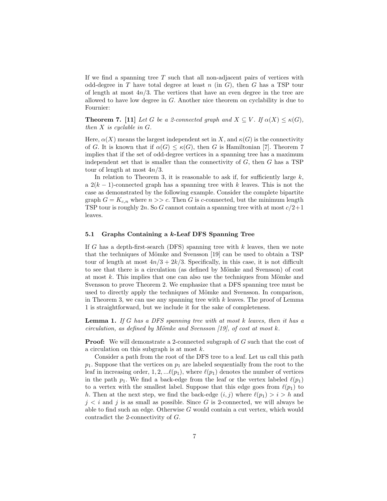If we find a spanning tree  $T$  such that all non-adjacent pairs of vertices with odd-degree in T have total degree at least n (in  $G$ ), then G has a TSP tour of length at most  $4n/3$ . The vertices that have an even degree in the tree are allowed to have low degree in G. Another nice theorem on cyclability is due to Fournier:

**Theorem 7.** [11] Let G be a 2-connected graph and  $X \subseteq V$ . If  $\alpha(X) \leq \kappa(G)$ , then  $X$  is cyclable in  $G$ .

Here,  $\alpha(X)$  means the largest independent set in X, and  $\kappa(G)$  is the connectivity of G. It is known that if  $\alpha(G) \leq \kappa(G)$ , then G is Hamiltonian [7]. Theorem 7 implies that if the set of odd-degree vertices in a spanning tree has a maximum independent set that is smaller than the connectivity of  $G$ , then  $G$  has a TSP tour of length at most  $4n/3$ .

In relation to Theorem 3, it is reasonable to ask if, for sufficiently large  $k$ , a  $2(k-1)$ -connected graph has a spanning tree with k leaves. This is not the case as demonstrated by the following example. Consider the complete bipartite graph  $G = K_{c,n}$  where  $n >> c$ . Then G is c-connected, but the minimum length TSP tour is roughly 2n. So G cannot contain a spanning tree with at most  $c/2+1$ leaves.

#### 5.1 Graphs Containing a k-Leaf DFS Spanning Tree

If G has a depth-first-search (DFS) spanning tree with  $k$  leaves, then we note that the techniques of Mömke and Svensson [19] can be used to obtain a TSP tour of length at most  $4n/3 + 2k/3$ . Specifically, in this case, it is not difficult to see that there is a circulation (as defined by Mömke and Svensson) of cost at most  $k$ . This implies that one can also use the techniques from Mömke and Svensson to prove Theorem 2. We emphasize that a DFS spanning tree must be used to directly apply the techniques of Mömke and Svensson. In comparison, in Theorem 3, we can use any spanning tree with  $k$  leaves. The proof of Lemma 1 is straightforward, but we include it for the sake of completeness.

**Lemma 1.** If G has a DFS spanning tree with at most  $k$  leaves, then it has a circulation, as defined by Mömke and Svensson [19], of cost at most  $k$ .

**Proof:** We will demonstrate a 2-connected subgraph of G such that the cost of a circulation on this subgraph is at most k.

Consider a path from the root of the DFS tree to a leaf. Let us call this path  $p_1$ . Suppose that the vertices on  $p_1$  are labeled sequentially from the root to the leaf in increasing order,  $1, 2, \ldots \ell(p_1)$ , where  $\ell(p_1)$  denotes the number of vertices in the path  $p_1$ . We find a back-edge from the leaf or the vertex labeled  $\ell(p_1)$ to a vertex with the smallest label. Suppose that this edge goes from  $\ell(p_1)$  to h. Then at the next step, we find the back-edge  $(i, j)$  where  $\ell(p_1) > i > h$  and  $j < i$  and j is as small as possible. Since G is 2-connected, we will always be able to find such an edge. Otherwise  $G$  would contain a cut vertex, which would contradict the 2-connectivity of G.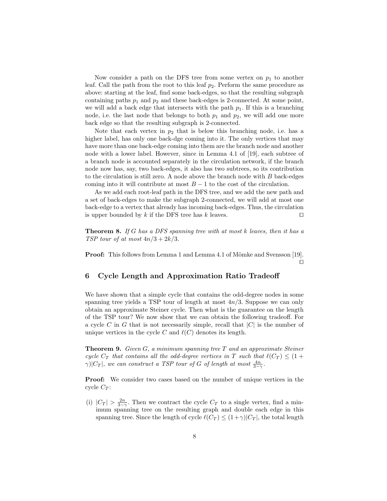Now consider a path on the DFS tree from some vertex on  $p_1$  to another leaf. Call the path from the root to this leaf  $p_2$ . Perform the same procedure as above: starting at the leaf, find some back-edges, so that the resulting subgraph containing paths  $p_1$  and  $p_2$  and these back-edges is 2-connected. At some point, we will add a back edge that intersects with the path  $p_1$ . If this is a branching node, i.e. the last node that belongs to both  $p_1$  and  $p_2$ , we will add one more back edge so that the resulting subgraph is 2-connected.

Note that each vertex in  $p_2$  that is below this branching node, i.e. has a higher label, has only one back-dge coming into it. The only vertices that may have more than one back-edge coming into them are the branch node and another node with a lower label. However, since in Lemma 4.1 of [19], each subtree of a branch node is accounted separately in the circulation network, if the branch node now has, say, two back-edges, it also has two subtrees, so its contribution to the circulation is still zero. A node above the branch node with  $B$  back-edges coming into it will contribute at most  $B-1$  to the cost of the circulation.

As we add each root-leaf path in the DFS tree, and we add the new path and a set of back-edges to make the subgraph 2-connected, we will add at most one back-edge to a vertex that already has incoming back-edges. Thus, the circulation is upper bounded by k if the DFS tree has k leaves.  $\square$ 

**Theorem 8.** If G has a DFS spanning tree with at most k leaves, then it has a TSP tour of at most  $4n/3 + 2k/3$ .

**Proof:** This follows from Lemma 1 and Lemma 4.1 of Mömke and Svensson [19].  $\Box$ 

# 6 Cycle Length and Approximation Ratio Tradeoff

We have shown that a simple cycle that contains the odd-degree nodes in some spanning tree yields a TSP tour of length at most  $4n/3$ . Suppose we can only obtain an approximate Steiner cycle. Then what is the guarantee on the length of the TSP tour? We now show that we can obtain the following tradeoff. For a cycle C in G that is not necessarily simple, recall that  $|C|$  is the number of unique vertices in the cycle C and  $\ell(C)$  denotes its length.

**Theorem 9.** Given G, a minimum spanning tree T and an approximate Steiner cycle  $C_T$  that contains all the odd-degree vertices in T such that  $\ell(C_T) \leq (1 +$  $\gamma$ |C<sub>T</sub>|, we can construct a TSP tour of G of length at most  $\frac{4n}{3-\gamma}$ .

Proof: We consider two cases based on the number of unique vertices in the cycle  $C_T$ :

(i)  $|C_T| > \frac{2n}{3-\gamma}$ . Then we contract the cycle  $C_T$  to a single vertex, find a minimum spanning tree on the resulting graph and double each edge in this spanning tree. Since the length of cycle  $\ell(C_T) \leq (1+\gamma)|C_T|$ , the total length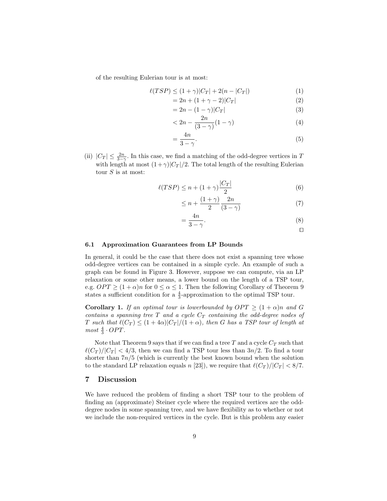of the resulting Eulerian tour is at most:

$$
\ell(TSP) \le (1+\gamma)|C_T| + 2(n-|C_T|)
$$
\n<sup>(1)</sup>

$$
= 2n + (1 + \gamma - 2)|C_T|
$$
 (2)

$$
=2n - (1 - \gamma)|C_T|
$$
\n(3)

$$
\langle 2n - \frac{2n}{(3-\gamma)}(1-\gamma) \tag{4}
$$

$$
=\frac{4n}{3-\gamma}.\tag{5}
$$

(ii)  $|C_T| \leq \frac{2n}{3-\gamma}$ . In this case, we find a matching of the odd-degree vertices in T with length at most  $(1+\gamma)|C_T|/2$ . The total length of the resulting Eulerian tour  $S$  is at most:

$$
\ell(TSP) \le n + (1+\gamma)\frac{|C_T|}{2} \tag{6}
$$

$$
\leq n + \frac{(1+\gamma)}{2} \frac{2n}{(3-\gamma)}\tag{7}
$$

$$
=\frac{4n}{3-\gamma}.\tag{8}
$$

#### $\sqcup$

#### 6.1 Approximation Guarantees from LP Bounds

In general, it could be the case that there does not exist a spanning tree whose odd-degree vertices can be contained in a simple cycle. An example of such a graph can be found in Figure 3. However, suppose we can compute, via an LP relaxation or some other means, a lower bound on the length of a TSP tour, e.g.  $OPT \geq (1 + \alpha)n$  for  $0 \leq \alpha \leq 1$ . Then the following Corollary of Theorem 9 states a sufficient condition for a  $\frac{4}{3}$ -approximation to the optimal TSP tour.

**Corollary 1.** If an optimal tour is lowerbounded by  $OPT \geq (1 + \alpha)n$  and G contains a spanning tree T and a cycle  $C_T$  containing the odd-degree nodes of T such that  $\ell(C_T) \leq (1+4\alpha)|C_T|/(1+\alpha)$ , then G has a TSP tour of length at  $most \frac{4}{3} \cdot OPT$ .

Note that Theorem 9 says that if we can find a tree T and a cycle  $C_T$  such that  $\ell(C_T) / |C_T| < 4/3$ , then we can find a TSP tour less than  $3n/2$ . To find a tour shorter than  $7n/5$  (which is currently the best known bound when the solution to the standard LP relaxation equals n [23]), we require that  $\ell(C_T) / |C_T| < 8/7$ .

### 7 Discussion

We have reduced the problem of finding a short TSP tour to the problem of finding an (approximate) Steiner cycle where the required vertices are the odddegree nodes in some spanning tree, and we have flexibility as to whether or not we include the non-required vertices in the cycle. But is this problem any easier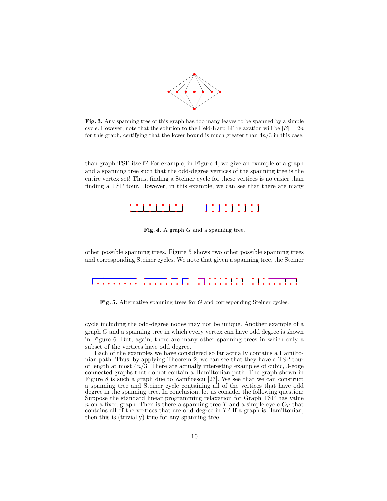

Fig. 3. Any spanning tree of this graph has too many leaves to be spanned by a simple cycle. However, note that the solution to the Held-Karp LP relaxation will be  $|E| = 2n$ for this graph, certifying that the lower bound is much greater than  $4n/3$  in this case.

than graph-TSP itself? For example, in Figure 4, we give an example of a graph and a spanning tree such that the odd-degree vertices of the spanning tree is the entire vertex set! Thus, finding a Steiner cycle for these vertices is no easier than finding a TSP tour. However, in this example, we can see that there are many



Fig. 4. A graph  $G$  and a spanning tree.

other possible spanning trees. Figure 5 shows two other possible spanning trees and corresponding Steiner cycles. We note that given a spanning tree, the Steiner

#### <u> 1999 - 1999 - 1999 - 1999 - 1999 - 1999 - 1999 - 1999 - 1999 - 1999 - 1999 - 1999 - 1999 - 1999 - 1999 - 199</u>  $\prod$

#### Fig. 5. Alternative spanning trees for G and corresponding Steiner cycles.

cycle including the odd-degree nodes may not be unique. Another example of a graph G and a spanning tree in which every vertex can have odd degree is shown in Figure 6. But, again, there are many other spanning trees in which only a subset of the vertices have odd degree.

Each of the examples we have considered so far actually contains a Hamiltonian path. Thus, by applying Theorem 2, we can see that they have a TSP tour of length at most  $4n/3$ . There are actually interesting examples of cubic, 3-edge connected graphs that do not contain a Hamiltonian path. The graph shown in Figure 8 is such a graph due to Zamfirescu [27]. We see that we can construct a spanning tree and Steiner cycle containing all of the vertices that have odd degree in the spanning tree. In conclusion, let us consider the following question: Suppose the standard linear programming relaxation for Graph TSP has value n on a fixed graph. Then is there a spanning tree T and a simple cycle  $C_T$  that contains all of the vertices that are odd-degree in  $T$ ? If a graph is Hamiltonian, then this is (trivially) true for any spanning tree.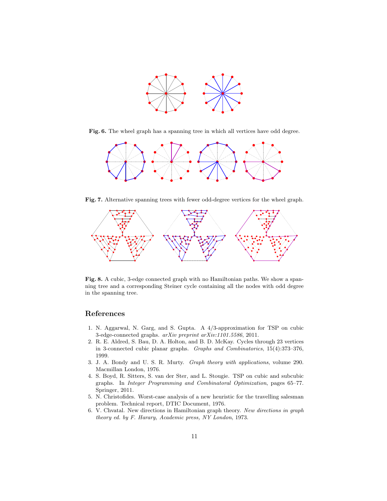

Fig. 6. The wheel graph has a spanning tree in which all vertices have odd degree.



Fig. 7. Alternative spanning trees with fewer odd-degree vertices for the wheel graph.



Fig. 8. A cubic, 3-edge connected graph with no Hamiltonian paths. We show a spanning tree and a corresponding Steiner cycle containing all the nodes with odd degree in the spanning tree.

# References

- 1. N. Aggarwal, N. Garg, and S. Gupta. A 4/3-approximation for TSP on cubic 3-edge-connected graphs. arXiv preprint arXiv:1101.5586, 2011.
- 2. R. E. Aldred, S. Bau, D. A. Holton, and B. D. McKay. Cycles through 23 vertices in 3-connected cubic planar graphs. Graphs and Combinatorics, 15(4):373–376, 1999.
- 3. J. A. Bondy and U. S. R. Murty. Graph theory with applications, volume 290. Macmillan London, 1976.
- 4. S. Boyd, R. Sitters, S. van der Ster, and L. Stougie. TSP on cubic and subcubic graphs. In Integer Programming and Combinatoral Optimization, pages 65–77. Springer, 2011.
- 5. N. Christofides. Worst-case analysis of a new heuristic for the travelling salesman problem. Technical report, DTIC Document, 1976.
- 6. V. Chvatal. New directions in Hamiltonian graph theory. New directions in graph theory ed. by F. Harary, Academic press, NY London, 1973.